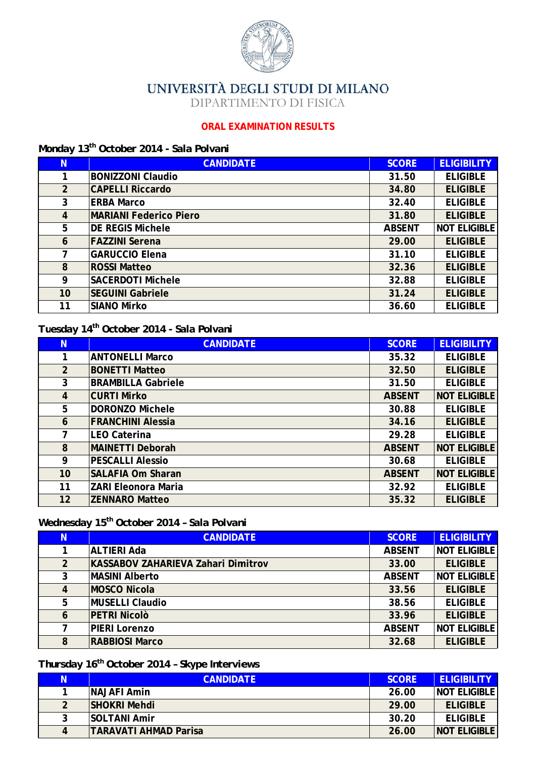

UNIVERSITÀ DEGLI STUDI DI MILANO

DIPARTIMENTO DI FISICA

#### **ORAL EXAMINATION RESULTS**

### Monday 13<sup>th</sup> October 2014 - Sala Polvani

| N  | <b>CANDIDATE</b>              | <b>SCORE</b>  | <b>ELIGIBILITY</b>  |
|----|-------------------------------|---------------|---------------------|
|    | <b>BONIZZONI Claudio</b>      | 31.50         | <b>ELIGIBLE</b>     |
| 2  | <b>CAPELLI Riccardo</b>       | 34.80         | <b>ELIGIBLE</b>     |
| 3  | <b>ERBA Marco</b>             | 32.40         | <b>ELIGIBLE</b>     |
| 4  | <b>MARIANI Federico Piero</b> | 31.80         | <b>ELIGIBLE</b>     |
| 5  | <b>DE REGIS Michele</b>       | <b>ABSENT</b> | <b>NOT ELIGIBLE</b> |
| 6  | <b>FAZZINI Serena</b>         | 29.00         | <b>ELIGIBLE</b>     |
| 7  | <b>GARUCCIO Elena</b>         | 31.10         | <b>ELIGIBLE</b>     |
| 8  | <b>ROSSI Matteo</b>           | 32.36         | <b>ELIGIBLE</b>     |
| 9  | <b>SACERDOTI Michele</b>      | 32.88         | <b>ELIGIBLE</b>     |
| 10 | <b>SEGUINI Gabriele</b>       | 31.24         | <b>ELIGIBLE</b>     |
| 11 | <b>SIANO Mirko</b>            | 36.60         | <b>ELIGIBLE</b>     |

#### Tuesday 14<sup>th</sup> October 2014 - Sala Polvani

| N              | <b>CANDIDATE</b>           | <b>SCORE</b>  | <b>ELIGIBILITY</b>  |
|----------------|----------------------------|---------------|---------------------|
|                | <b>ANTONELLI Marco</b>     | 35.32         | <b>ELIGIBLE</b>     |
| $\overline{2}$ | <b>BONETTI Matteo</b>      | 32.50         | <b>ELIGIBLE</b>     |
| 3              | <b>BRAMBILLA Gabriele</b>  | 31.50         | <b>ELIGIBLE</b>     |
| $\overline{4}$ | <b>CURTI Mirko</b>         | <b>ABSENT</b> | <b>NOT ELIGIBLE</b> |
| 5              | <b>DORONZO Michele</b>     | 30.88         | <b>ELIGIBLE</b>     |
| 6              | <b>FRANCHINI Alessia</b>   | 34.16         | <b>ELIGIBLE</b>     |
| 7              | <b>LEO Caterina</b>        | 29.28         | <b>ELIGIBLE</b>     |
| 8              | <b>MAINETTI Deborah</b>    | <b>ABSENT</b> | <b>NOT ELIGIBLE</b> |
| 9              | <b>PESCALLI Alessio</b>    | 30.68         | <b>ELIGIBLE</b>     |
| 10             | <b>SALAFIA Om Sharan</b>   | <b>ABSENT</b> | <b>NOT ELIGIBLE</b> |
| 11             | <b>ZARI Eleonora Maria</b> | 32.92         | <b>ELIGIBLE</b>     |
| 12             | <b>ZENNARO Matteo</b>      | 35.32         | <b>ELIGIBLE</b>     |

## Wednesday 15<sup>th</sup> October 2014 - Sala Polvani

| N.             | <b>CANDIDATE</b>                          | <b>SCORE</b>  | <b>ELIGIBILITY</b>  |
|----------------|-------------------------------------------|---------------|---------------------|
|                | <b>ALTIERI Ada</b>                        | <b>ABSENT</b> | <b>NOT ELIGIBLE</b> |
| $\overline{2}$ | <b>KASSABOV ZAHARIEVA Zahari Dimitrov</b> | 33.00         | <b>ELIGIBLE</b>     |
| 3              | <b>MASINI Alberto</b>                     | <b>ABSENT</b> | <b>NOT ELIGIBLE</b> |
| 4              | <b>MOSCO Nicola</b>                       | 33.56         | <b>ELIGIBLE</b>     |
| 5              | MUSELLI Claudio                           | 38.56         | <b>ELIGIBLE</b>     |
| 6              | <b>PETRI Nicolò</b>                       | 33.96         | <b>ELIGIBLE</b>     |
| 7              | <b>PIERI Lorenzo</b>                      | <b>ABSENT</b> | <b>NOT ELIGIBLE</b> |
| 8              | <b>RABBIOSI Marco</b>                     | 32.68         | <b>ELIGIBLE</b>     |

# Thursday 16<sup>th</sup> October 2014 - Skype Interviews

| Ν | <b>CANDIDATE</b>             | <b>SCORE</b> | <b>ELIGIBILITY</b>  |
|---|------------------------------|--------------|---------------------|
|   | <b>NAJAFI Amin</b>           | 26.00        | <b>NOT ELIGIBLE</b> |
| 2 | <b>SHOKRI Mehdi</b>          | 29.00        | <b>ELIGIBLE</b>     |
| 3 | <b>SOLTANI Amir</b>          | 30.20        | <b>ELIGIBLE</b>     |
| 4 | <b>TARAVATI AHMAD Parisa</b> | 26.00        | <b>NOT ELIGIBLE</b> |